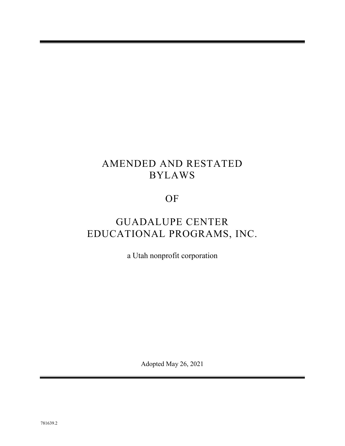# AMENDED AND RESTATED BYLAWS

# OF

# GUADALUPE CENTER EDUCATIONAL PROGRAMS, INC.

a Utah nonprofit corporation

Adopted May 26, 2021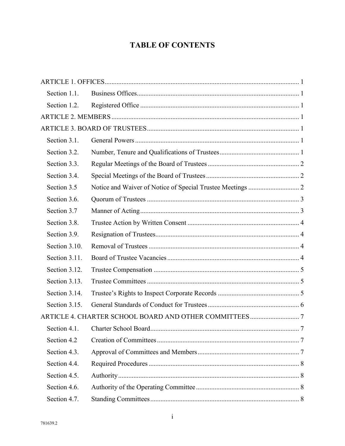# **TABLE OF CONTENTS**

| Section 1.1.  |                                        |  |
|---------------|----------------------------------------|--|
| Section 1.2.  |                                        |  |
|               |                                        |  |
|               |                                        |  |
| Section 3.1.  |                                        |  |
| Section 3.2.  |                                        |  |
| Section 3.3.  |                                        |  |
| Section 3.4.  |                                        |  |
| Section 3.5   |                                        |  |
| Section 3.6.  |                                        |  |
| Section 3.7   |                                        |  |
| Section 3.8.  |                                        |  |
| Section 3.9.  |                                        |  |
| Section 3.10. |                                        |  |
| Section 3.11. |                                        |  |
| Section 3.12. |                                        |  |
| Section 3.13. |                                        |  |
| Section 3.14. |                                        |  |
| Section 3.15. |                                        |  |
|               |                                        |  |
|               | Section 4.1. Charter School Board<br>7 |  |
| Section 4.2   |                                        |  |
| Section 4.3.  |                                        |  |
| Section 4.4.  |                                        |  |
| Section 4.5.  |                                        |  |
| Section 4.6.  |                                        |  |
| Section 4.7.  |                                        |  |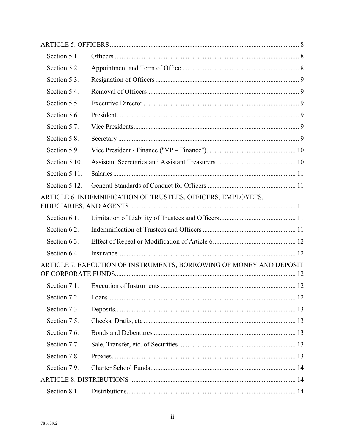| Section 5.1.  |                                                                     |
|---------------|---------------------------------------------------------------------|
| Section 5.2.  |                                                                     |
| Section 5.3.  |                                                                     |
| Section 5.4.  |                                                                     |
| Section 5.5.  |                                                                     |
| Section 5.6.  |                                                                     |
| Section 5.7.  |                                                                     |
| Section 5.8.  |                                                                     |
| Section 5.9.  |                                                                     |
| Section 5.10. |                                                                     |
| Section 5.11. |                                                                     |
| Section 5.12. |                                                                     |
|               | ARTICLE 6. INDEMNIFICATION OF TRUSTEES, OFFICERS, EMPLOYEES,        |
|               |                                                                     |
| Section 6.1.  |                                                                     |
| Section 6.2.  |                                                                     |
| Section 6.3.  |                                                                     |
| Section 6.4.  |                                                                     |
|               | ARTICLE 7. EXECUTION OF INSTRUMENTS, BORROWING OF MONEY AND DEPOSIT |
| Section 7.1.  |                                                                     |
| Section 7.2.  |                                                                     |
| Section 7.3.  |                                                                     |
| Section 7.5.  |                                                                     |
| Section 7.6.  |                                                                     |
| Section 7.7.  |                                                                     |
| Section 7.8.  |                                                                     |
| Section 7.9.  |                                                                     |
|               |                                                                     |
| Section 8.1.  |                                                                     |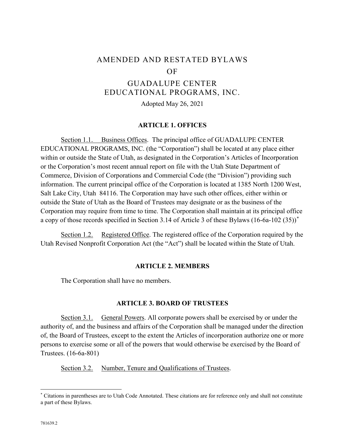# AMENDED AND RESTATED BYLAWS OF

# GUADALUPE CENTER EDUCATIONAL PROGRAMS, INC.

Adopted May 26, 2021

#### **ARTICLE 1. OFFICES**

<span id="page-4-1"></span><span id="page-4-0"></span>Section 1.1. Business Offices. The principal office of GUADALUPE CENTER EDUCATIONAL PROGRAMS, INC. (the "Corporation") shall be located at any place either within or outside the State of Utah, as designated in the Corporation's Articles of Incorporation or the Corporation's most recent annual report on file with the Utah State Department of Commerce, Division of Corporations and Commercial Code (the "Division") providing such information. The current principal office of the Corporation is located at 1385 North 1200 West, Salt Lake City, Utah 84116. The Corporation may have such other offices, either within or outside the State of Utah as the Board of Trustees may designate or as the business of the Corporation may require from time to time. The Corporation shall maintain at its principal office a copy of those records specified in Section 3.14 of Article 3 of these Bylaws (16-6a-102 (35))[\\*](#page-4-7)

<span id="page-4-3"></span><span id="page-4-2"></span>Section 1.2. Registered Office. The registered office of the Corporation required by the Utah Revised Nonprofit Corporation Act (the "Act") shall be located within the State of Utah.

#### **ARTICLE 2. MEMBERS**

The Corporation shall have no members.

#### **ARTICLE 3. BOARD OF TRUSTEES**

<span id="page-4-5"></span><span id="page-4-4"></span>Section 3.1. General Powers. All corporate powers shall be exercised by or under the authority of, and the business and affairs of the Corporation shall be managed under the direction of, the Board of Trustees, except to the extent the Articles of incorporation authorize one or more persons to exercise some or all of the powers that would otherwise be exercised by the Board of Trustees. (16-6a-801)

<span id="page-4-6"></span>Section 3.2. Number, Tenure and Qualifications of Trustees.

<span id="page-4-7"></span> <sup>\*</sup> Citations in parentheses are to Utah Code Annotated. These citations are for reference only and shall not constitute a part of these Bylaws.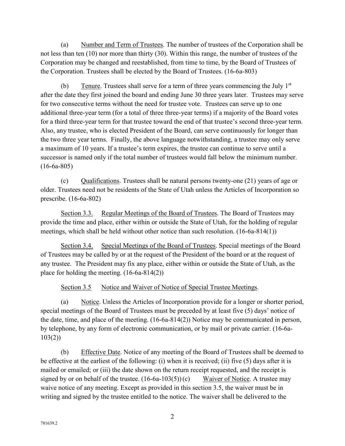(a) Number and Term of Trustees. The number of trustees of the Corporation shall be not less than ten (10) nor more than thirty (30). Within this range, the number of trustees of the Corporation may be changed and reestablished, from time to time, by the Board of Trustees of the Corporation. Trustees shall be elected by the Board of Trustees. (16-6a-803)

(b) Tenure. Trustees shall serve for a term of three years commencing the July  $1<sup>st</sup>$ after the date they first joined the board and ending June 30 three years later. Trustees may serve for two consecutive terms without the need for trustee vote. Trustees can serve up to one additional three-year term (for a total of three three-year terms) if a majority of the Board votes for a third three-year term for that trustee toward the end of that trustee's second three-year term. Also, any trustee, who is elected President of the Board, can serve continuously for longer than the two three year terms. Finally, the above language notwithstanding, a trustee may only serve a maximum of 10 years. If a trustee's term expires, the trustee can continue to serve until a successor is named only if the total number of trustees would fall below the minimum number.  $(16-6a-805)$ 

(c) Qualifications. Trustees shall be natural persons twenty-one (21) years of age or older. Trustees need not be residents of the State of Utah unless the Articles of Incorporation so prescribe. (16-6a-802)

<span id="page-5-0"></span>Section 3.3. Regular Meetings of the Board of Trustees. The Board of Trustees may provide the time and place, either within or outside the State of Utah, for the holding of regular meetings, which shall be held without other notice than such resolution. (16-6a-814(1))

<span id="page-5-1"></span>Section 3.4. Special Meetings of the Board of Trustees. Special meetings of the Board of Trustees may be called by or at the request of the President of the board or at the request of any trustee. The President may fix any place, either within or outside the State of Utah, as the place for holding the meeting. (16-6a-814(2))

Section 3.5 Notice and Waiver of Notice of Special Trustee Meetings.

<span id="page-5-2"></span>(a) Notice. Unless the Articles of Incorporation provide for a longer or shorter period, special meetings of the Board of Trustees must be preceded by at least five (5) days' notice of the date, time, and place of the meeting. (16-6a-814(2)) Notice may be communicated in person, by telephone, by any form of electronic communication, or by mail or private carrier. (16-6a-103(2))

(b) Effective Date. Notice of any meeting of the Board of Trustees shall be deemed to be effective at the earliest of the following: (i) when it is received; (ii) five (5) days after it is mailed or emailed; or (iii) the date shown on the return receipt requested, and the receipt is signed by or on behalf of the trustee.  $(16-6a-103(5))(c)$  Waiver of Notice. A trustee may waive notice of any meeting. Except as provided in this section 3.5, the waiver must be in writing and signed by the trustee entitled to the notice. The waiver shall be delivered to the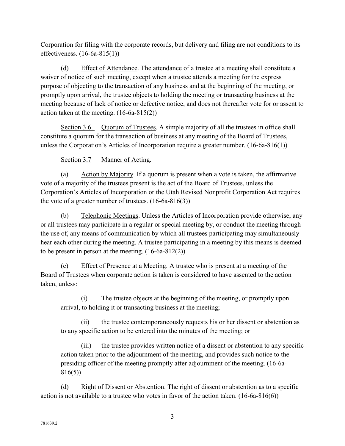Corporation for filing with the corporate records, but delivery and filing are not conditions to its effectiveness. (16-6a-815(1))

(d) Effect of Attendance. The attendance of a trustee at a meeting shall constitute a waiver of notice of such meeting, except when a trustee attends a meeting for the express purpose of objecting to the transaction of any business and at the beginning of the meeting, or promptly upon arrival, the trustee objects to holding the meeting or transacting business at the meeting because of lack of notice or defective notice, and does not thereafter vote for or assent to action taken at the meeting. (16-6a-815(2))

<span id="page-6-0"></span>Section 3.6. Quorum of Trustees. A simple majority of all the trustees in office shall constitute a quorum for the transaction of business at any meeting of the Board of Trustees, unless the Corporation's Articles of Incorporation require a greater number. (16-6a-816(1))

# <span id="page-6-1"></span>Section 3.7 Manner of Acting.

(a) Action by Majority. If a quorum is present when a vote is taken, the affirmative vote of a majority of the trustees present is the act of the Board of Trustees, unless the Corporation's Articles of Incorporation or the Utah Revised Nonprofit Corporation Act requires the vote of a greater number of trustees.  $(16-6a-816(3))$ 

(b) Telephonic Meetings. Unless the Articles of Incorporation provide otherwise, any or all trustees may participate in a regular or special meeting by, or conduct the meeting through the use of, any means of communication by which all trustees participating may simultaneously hear each other during the meeting. A trustee participating in a meeting by this means is deemed to be present in person at the meeting. (16-6a-812(2))

(c) Effect of Presence at a Meeting. A trustee who is present at a meeting of the Board of Trustees when corporate action is taken is considered to have assented to the action taken, unless:

(i) The trustee objects at the beginning of the meeting, or promptly upon arrival, to holding it or transacting business at the meeting;

(ii) the trustee contemporaneously requests his or her dissent or abstention as to any specific action to be entered into the minutes of the meeting; or

(iii) the trustee provides written notice of a dissent or abstention to any specific action taken prior to the adjournment of the meeting, and provides such notice to the presiding officer of the meeting promptly after adjournment of the meeting. (16-6a-816(5))

(d) Right of Dissent or Abstention. The right of dissent or abstention as to a specific action is not available to a trustee who votes in favor of the action taken. (16-6a-816(6))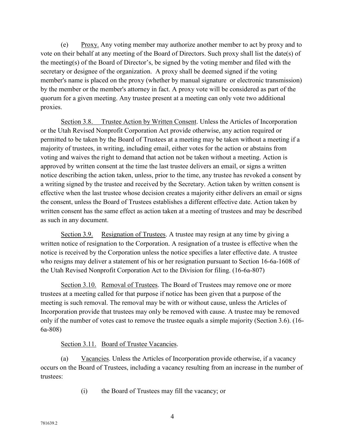(e) Proxy. Any voting member may authorize another member to act by proxy and to vote on their behalf at any meeting of the Board of Directors. Such proxy shall list the date(s) of the meeting(s) of the Board of Director's, be signed by the voting member and filed with the secretary or designee of the organization. A proxy shall be deemed signed if the voting member's name is placed on the proxy (whether by manual signature or electronic transmission) by the member or the member's attorney in fact. A proxy vote will be considered as part of the quorum for a given meeting. Any trustee present at a meeting can only vote two additional proxies.

<span id="page-7-0"></span>Section 3.8. Trustee Action by Written Consent. Unless the Articles of Incorporation or the Utah Revised Nonprofit Corporation Act provide otherwise, any action required or permitted to be taken by the Board of Trustees at a meeting may be taken without a meeting if a majority of trustees, in writing, including email, either votes for the action or abstains from voting and waives the right to demand that action not be taken without a meeting. Action is approved by written consent at the time the last trustee delivers an email, or signs a written notice describing the action taken, unless, prior to the time, any trustee has revoked a consent by a writing signed by the trustee and received by the Secretary. Action taken by written consent is effective when the last trustee whose decision creates a majority either delivers an email or signs the consent, unless the Board of Trustees establishes a different effective date. Action taken by written consent has the same effect as action taken at a meeting of trustees and may be described as such in any document.

<span id="page-7-1"></span>Section 3.9. Resignation of Trustees. A trustee may resign at any time by giving a written notice of resignation to the Corporation. A resignation of a trustee is effective when the notice is received by the Corporation unless the notice specifies a later effective date. A trustee who resigns may deliver a statement of his or her resignation pursuant to Section 16-6a-1608 of the Utah Revised Nonprofit Corporation Act to the Division for filing. (16-6a-807)

<span id="page-7-2"></span>Section 3.10. Removal of Trustees. The Board of Trustees may remove one or more trustees at a meeting called for that purpose if notice has been given that a purpose of the meeting is such removal. The removal may be with or without cause, unless the Articles of Incorporation provide that trustees may only be removed with cause. A trustee may be removed only if the number of votes cast to remove the trustee equals a simple majority (Section 3.6). (16- 6a-808)

## <span id="page-7-3"></span>Section 3.11. Board of Trustee Vacancies.

(a) Vacancies. Unless the Articles of Incorporation provide otherwise, if a vacancy occurs on the Board of Trustees, including a vacancy resulting from an increase in the number of trustees:

(i) the Board of Trustees may fill the vacancy; or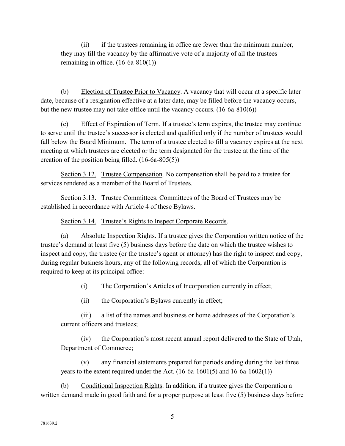(ii) if the trustees remaining in office are fewer than the minimum number, they may fill the vacancy by the affirmative vote of a majority of all the trustees remaining in office.  $(16-6a-810(1))$ 

(b) Election of Trustee Prior to Vacancy. A vacancy that will occur at a specific later date, because of a resignation effective at a later date, may be filled before the vacancy occurs, but the new trustee may not take office until the vacancy occurs. (16-6a-810(6))

(c) Effect of Expiration of Term. If a trustee's term expires, the trustee may continue to serve until the trustee's successor is elected and qualified only if the number of trustees would fall below the Board Minimum. The term of a trustee elected to fill a vacancy expires at the next meeting at which trustees are elected or the term designated for the trustee at the time of the creation of the position being filled. (16-6a-805(5))

<span id="page-8-0"></span>Section 3.12. Trustee Compensation. No compensation shall be paid to a trustee for services rendered as a member of the Board of Trustees.

<span id="page-8-1"></span>Section 3.13. Trustee Committees. Committees of the Board of Trustees may be established in accordance with Article 4 of these Bylaws.

<span id="page-8-2"></span>Section 3.14. Trustee's Rights to Inspect Corporate Records.

(a) Absolute Inspection Rights. If a trustee gives the Corporation written notice of the trustee's demand at least five (5) business days before the date on which the trustee wishes to inspect and copy, the trustee (or the trustee's agent or attorney) has the right to inspect and copy, during regular business hours, any of the following records, all of which the Corporation is required to keep at its principal office:

(i) The Corporation's Articles of Incorporation currently in effect;

(ii) the Corporation's Bylaws currently in effect;

(iii) a list of the names and business or home addresses of the Corporation's current officers and trustees;

(iv) the Corporation's most recent annual report delivered to the State of Utah, Department of Commerce;

(v) any financial statements prepared for periods ending during the last three years to the extent required under the Act.  $(16-6a-1601(5)$  and  $16-6a-1602(1))$ 

(b) Conditional Inspection Rights. In addition, if a trustee gives the Corporation a written demand made in good faith and for a proper purpose at least five (5) business days before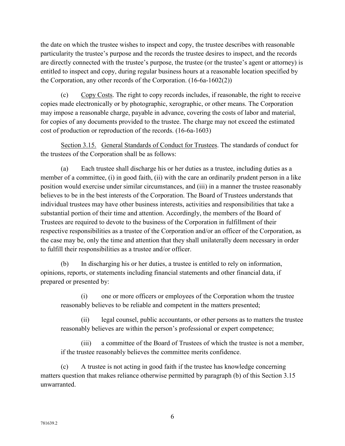the date on which the trustee wishes to inspect and copy, the trustee describes with reasonable particularity the trustee's purpose and the records the trustee desires to inspect, and the records are directly connected with the trustee's purpose, the trustee (or the trustee's agent or attorney) is entitled to inspect and copy, during regular business hours at a reasonable location specified by the Corporation, any other records of the Corporation. (16-6a-1602(2))

(c) Copy Costs. The right to copy records includes, if reasonable, the right to receive copies made electronically or by photographic, xerographic, or other means. The Corporation may impose a reasonable charge, payable in advance, covering the costs of labor and material, for copies of any documents provided to the trustee. The charge may not exceed the estimated cost of production or reproduction of the records. (16-6a-1603)

<span id="page-9-0"></span>Section 3.15. General Standards of Conduct for Trustees. The standards of conduct for the trustees of the Corporation shall be as follows:

(a) Each trustee shall discharge his or her duties as a trustee, including duties as a member of a committee, (i) in good faith, (ii) with the care an ordinarily prudent person in a like position would exercise under similar circumstances, and (iii) in a manner the trustee reasonably believes to be in the best interests of the Corporation. The Board of Trustees understands that individual trustees may have other business interests, activities and responsibilities that take a substantial portion of their time and attention. Accordingly, the members of the Board of Trustees are required to devote to the business of the Corporation in fulfillment of their respective responsibilities as a trustee of the Corporation and/or an officer of the Corporation, as the case may be, only the time and attention that they shall unilaterally deem necessary in order to fulfill their responsibilities as a trustee and/or officer.

(b) In discharging his or her duties, a trustee is entitled to rely on information, opinions, reports, or statements including financial statements and other financial data, if prepared or presented by:

(i) one or more officers or employees of the Corporation whom the trustee reasonably believes to be reliable and competent in the matters presented;

(ii) legal counsel, public accountants, or other persons as to matters the trustee reasonably believes are within the person's professional or expert competence;

(iii) a committee of the Board of Trustees of which the trustee is not a member, if the trustee reasonably believes the committee merits confidence.

(c) A trustee is not acting in good faith if the trustee has knowledge concerning matters question that makes reliance otherwise permitted by paragraph (b) of this Section 3.15 unwarranted.

6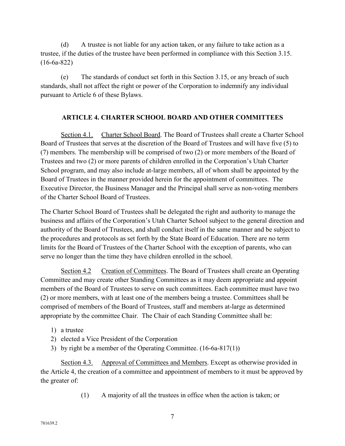(d) A trustee is not liable for any action taken, or any failure to take action as a trustee, if the duties of the trustee have been performed in compliance with this Section 3.15. (16-6a-822)

(e) The standards of conduct set forth in this Section 3.15, or any breach of such standards, shall not affect the right or power of the Corporation to indemnify any individual pursuant to Article 6 of these Bylaws.

## <span id="page-10-1"></span><span id="page-10-0"></span>**ARTICLE 4. CHARTER SCHOOL BOARD AND OTHER COMMITTEES**

Section 4.1. Charter School Board. The Board of Trustees shall create a Charter School Board of Trustees that serves at the discretion of the Board of Trustees and will have five (5) to (7) members. The membership will be comprised of two (2) or more members of the Board of Trustees and two (2) or more parents of children enrolled in the Corporation's Utah Charter School program, and may also include at-large members, all of whom shall be appointed by the Board of Trustees in the manner provided herein for the appointment of committees. The Executive Director, the Business Manager and the Principal shall serve as non-voting members of the Charter School Board of Trustees.

The Charter School Board of Trustees shall be delegated the right and authority to manage the business and affairs of the Corporation's Utah Charter School subject to the general direction and authority of the Board of Trustees, and shall conduct itself in the same manner and be subject to the procedures and protocols as set forth by the State Board of Education. There are no term limits for the Board of Trustees of the Charter School with the exception of parents, who can serve no longer than the time they have children enrolled in the school.

<span id="page-10-2"></span>Section 4.2 Creation of Committees. The Board of Trustees shall create an Operating Committee and may create other Standing Committees as it may deem appropriate and appoint members of the Board of Trustees to serve on such committees. Each committee must have two (2) or more members, with at least one of the members being a trustee. Committees shall be comprised of members of the Board of Trustees, staff and members at-large as determined appropriate by the committee Chair. The Chair of each Standing Committee shall be:

- 1) a trustee
- 2) elected a Vice President of the Corporation
- <span id="page-10-3"></span>3) by right be a member of the Operating Committee. (16-6a-817(1))

Section 4.3. Approval of Committees and Members. Except as otherwise provided in the Article 4, the creation of a committee and appointment of members to it must be approved by the greater of:

(1) A majority of all the trustees in office when the action is taken; or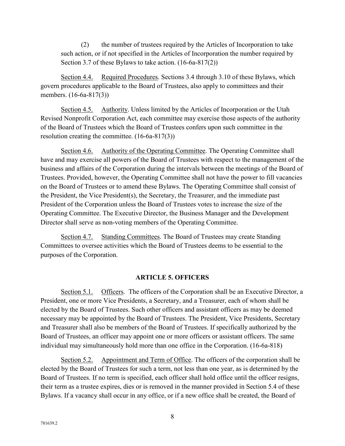(2) the number of trustees required by the Articles of Incorporation to take such action, or if not specified in the Articles of Incorporation the number required by Section 3.7 of these Bylaws to take action. (16-6a-817(2))

<span id="page-11-0"></span>Section 4.4. Required Procedures. Sections 3.4 through 3.10 of these Bylaws, which govern procedures applicable to the Board of Trustees, also apply to committees and their members. (16-6a-817(3))

<span id="page-11-1"></span>Section 4.5. Authority. Unless limited by the Articles of Incorporation or the Utah Revised Nonprofit Corporation Act, each committee may exercise those aspects of the authority of the Board of Trustees which the Board of Trustees confers upon such committee in the resolution creating the committee. (16-6a-817(3))

<span id="page-11-2"></span>Section 4.6. Authority of the Operating Committee. The Operating Committee shall have and may exercise all powers of the Board of Trustees with respect to the management of the business and affairs of the Corporation during the intervals between the meetings of the Board of Trustees. Provided, however, the Operating Committee shall not have the power to fill vacancies on the Board of Trustees or to amend these Bylaws. The Operating Committee shall consist of the President, the Vice President(s), the Secretary, the Treasurer, and the immediate past President of the Corporation unless the Board of Trustees votes to increase the size of the Operating Committee. The Executive Director, the Business Manager and the Development Director shall serve as non-voting members of the Operating Committee.

<span id="page-11-3"></span>Section 4.7. Standing Committees. The Board of Trustees may create Standing Committees to oversee activities which the Board of Trustees deems to be essential to the purposes of the Corporation.

#### **ARTICLE 5. OFFICERS**

<span id="page-11-5"></span><span id="page-11-4"></span>Section 5.1. Officers. The officers of the Corporation shall be an Executive Director, a President, one or more Vice Presidents, a Secretary, and a Treasurer, each of whom shall be elected by the Board of Trustees. Such other officers and assistant officers as may be deemed necessary may be appointed by the Board of Trustees. The President, Vice Presidents, Secretary and Treasurer shall also be members of the Board of Trustees. If specifically authorized by the Board of Trustees, an officer may appoint one or more officers or assistant officers. The same individual may simultaneously hold more than one office in the Corporation. (16-6a-818)

<span id="page-11-6"></span>Section 5.2. Appointment and Term of Office. The officers of the corporation shall be elected by the Board of Trustees for such a term, not less than one year, as is determined by the Board of Trustees. If no term is specified, each officer shall hold office until the officer resigns, their term as a trustee expires, dies or is removed in the manner provided in Section 5.4 of these Bylaws. If a vacancy shall occur in any office, or if a new office shall be created, the Board of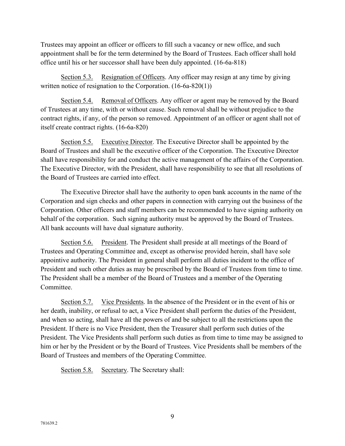Trustees may appoint an officer or officers to fill such a vacancy or new office, and such appointment shall be for the term determined by the Board of Trustees. Each officer shall hold office until his or her successor shall have been duly appointed. (16-6a-818)

<span id="page-12-0"></span>Section 5.3. Resignation of Officers. Any officer may resign at any time by giving written notice of resignation to the Corporation. (16-6a-820(1))

<span id="page-12-1"></span>Section 5.4. Removal of Officers. Any officer or agent may be removed by the Board of Trustees at any time, with or without cause. Such removal shall be without prejudice to the contract rights, if any, of the person so removed. Appointment of an officer or agent shall not of itself create contract rights. (16-6a-820)

<span id="page-12-2"></span>Section 5.5. Executive Director. The Executive Director shall be appointed by the Board of Trustees and shall be the executive officer of the Corporation. The Executive Director shall have responsibility for and conduct the active management of the affairs of the Corporation. The Executive Director, with the President, shall have responsibility to see that all resolutions of the Board of Trustees are carried into effect.

The Executive Director shall have the authority to open bank accounts in the name of the Corporation and sign checks and other papers in connection with carrying out the business of the Corporation. Other officers and staff members can be recommended to have signing authority on behalf of the corporation. Such signing authority must be approved by the Board of Trustees. All bank accounts will have dual signature authority.

<span id="page-12-3"></span>Section 5.6. President. The President shall preside at all meetings of the Board of Trustees and Operating Committee and, except as otherwise provided herein, shall have sole appointive authority. The President in general shall perform all duties incident to the office of President and such other duties as may be prescribed by the Board of Trustees from time to time. The President shall be a member of the Board of Trustees and a member of the Operating Committee.

<span id="page-12-4"></span>Section 5.7. Vice Presidents. In the absence of the President or in the event of his or her death, inability, or refusal to act, a Vice President shall perform the duties of the President, and when so acting, shall have all the powers of and be subject to all the restrictions upon the President. If there is no Vice President, then the Treasurer shall perform such duties of the President. The Vice Presidents shall perform such duties as from time to time may be assigned to him or her by the President or by the Board of Trustees. Vice Presidents shall be members of the Board of Trustees and members of the Operating Committee.

<span id="page-12-5"></span>Section 5.8. Secretary. The Secretary shall: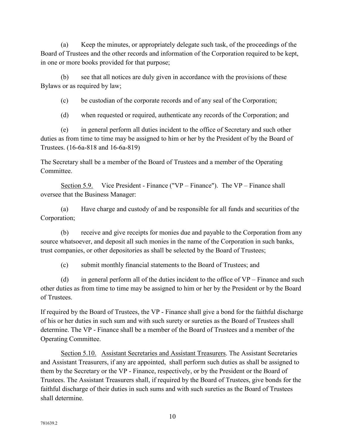(a) Keep the minutes, or appropriately delegate such task, of the proceedings of the Board of Trustees and the other records and information of the Corporation required to be kept, in one or more books provided for that purpose;

(b) see that all notices are duly given in accordance with the provisions of these Bylaws or as required by law;

(c) be custodian of the corporate records and of any seal of the Corporation;

(d) when requested or required, authenticate any records of the Corporation; and

(e) in general perform all duties incident to the office of Secretary and such other duties as from time to time may be assigned to him or her by the President of by the Board of Trustees. (16-6a-818 and 16-6a-819)

The Secretary shall be a member of the Board of Trustees and a member of the Operating Committee.

<span id="page-13-0"></span>Section 5.9. Vice President - Finance ("VP – Finance"). The VP – Finance shall oversee that the Business Manager:

(a) Have charge and custody of and be responsible for all funds and securities of the Corporation;

(b) receive and give receipts for monies due and payable to the Corporation from any source whatsoever, and deposit all such monies in the name of the Corporation in such banks, trust companies, or other depositories as shall be selected by the Board of Trustees;

(c) submit monthly financial statements to the Board of Trustees; and

(d) in general perform all of the duties incident to the office of  $VP$  – Finance and such other duties as from time to time may be assigned to him or her by the President or by the Board of Trustees.

If required by the Board of Trustees, the VP - Finance shall give a bond for the faithful discharge of his or her duties in such sum and with such surety or sureties as the Board of Trustees shall determine. The VP - Finance shall be a member of the Board of Trustees and a member of the Operating Committee.

<span id="page-13-1"></span>Section 5.10. Assistant Secretaries and Assistant Treasurers. The Assistant Secretaries and Assistant Treasurers, if any are appointed, shall perform such duties as shall be assigned to them by the Secretary or the VP - Finance, respectively, or by the President or the Board of Trustees. The Assistant Treasurers shall, if required by the Board of Trustees, give bonds for the faithful discharge of their duties in such sums and with such sureties as the Board of Trustees shall determine.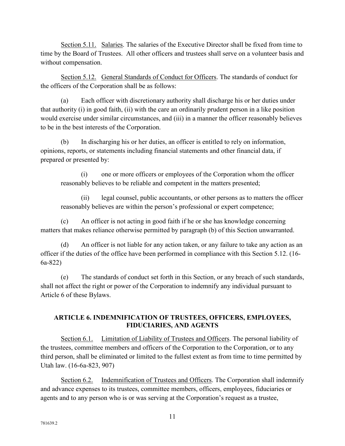<span id="page-14-0"></span>Section 5.11. Salaries. The salaries of the Executive Director shall be fixed from time to time by the Board of Trustees. All other officers and trustees shall serve on a volunteer basis and without compensation.

<span id="page-14-1"></span>Section 5.12. General Standards of Conduct for Officers. The standards of conduct for the officers of the Corporation shall be as follows:

(a) Each officer with discretionary authority shall discharge his or her duties under that authority (i) in good faith, (ii) with the care an ordinarily prudent person in a like position would exercise under similar circumstances, and (iii) in a manner the officer reasonably believes to be in the best interests of the Corporation.

(b) In discharging his or her duties, an officer is entitled to rely on information, opinions, reports, or statements including financial statements and other financial data, if prepared or presented by:

(i) one or more officers or employees of the Corporation whom the officer reasonably believes to be reliable and competent in the matters presented;

(ii) legal counsel, public accountants, or other persons as to matters the officer reasonably believes are within the person's professional or expert competence;

(c) An officer is not acting in good faith if he or she has knowledge concerning matters that makes reliance otherwise permitted by paragraph (b) of this Section unwarranted.

(d) An officer is not liable for any action taken, or any failure to take any action as an officer if the duties of the office have been performed in compliance with this Section 5.12. (16- 6a-822)

(e) The standards of conduct set forth in this Section, or any breach of such standards, shall not affect the right or power of the Corporation to indemnify any individual pursuant to Article 6 of these Bylaws.

## <span id="page-14-2"></span>**ARTICLE 6. INDEMNIFICATION OF TRUSTEES, OFFICERS, EMPLOYEES, FIDUCIARIES, AND AGENTS**

<span id="page-14-3"></span>Section 6.1. Limitation of Liability of Trustees and Officers. The personal liability of the trustees, committee members and officers of the Corporation to the Corporation, or to any third person, shall be eliminated or limited to the fullest extent as from time to time permitted by Utah law. (16-6a-823, 907)

<span id="page-14-4"></span>Section 6.2. Indemnification of Trustees and Officers. The Corporation shall indemnify and advance expenses to its trustees, committee members, officers, employees, fiduciaries or agents and to any person who is or was serving at the Corporation's request as a trustee,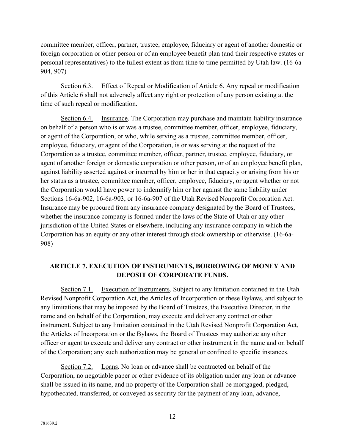committee member, officer, partner, trustee, employee, fiduciary or agent of another domestic or foreign corporation or other person or of an employee benefit plan (and their respective estates or personal representatives) to the fullest extent as from time to time permitted by Utah law. (16-6a-904, 907)

<span id="page-15-0"></span>Section 6.3. Effect of Repeal or Modification of Article 6. Any repeal or modification of this Article 6 shall not adversely affect any right or protection of any person existing at the time of such repeal or modification.

<span id="page-15-1"></span>Section 6.4. Insurance. The Corporation may purchase and maintain liability insurance on behalf of a person who is or was a trustee, committee member, officer, employee, fiduciary, or agent of the Corporation, or who, while serving as a trustee, committee member, officer, employee, fiduciary, or agent of the Corporation, is or was serving at the request of the Corporation as a trustee, committee member, officer, partner, trustee, employee, fiduciary, or agent of another foreign or domestic corporation or other person, or of an employee benefit plan, against liability asserted against or incurred by him or her in that capacity or arising from his or her status as a trustee, committee member, officer, employee, fiduciary, or agent whether or not the Corporation would have power to indemnify him or her against the same liability under Sections 16-6a-902, 16-6a-903, or 16-6a-907 of the Utah Revised Nonprofit Corporation Act. Insurance may be procured from any insurance company designated by the Board of Trustees, whether the insurance company is formed under the laws of the State of Utah or any other jurisdiction of the United States or elsewhere, including any insurance company in which the Corporation has an equity or any other interest through stock ownership or otherwise. (16-6a-908)

## <span id="page-15-2"></span>**ARTICLE 7. EXECUTION OF INSTRUMENTS, BORROWING OF MONEY AND DEPOSIT OF CORPORATE FUNDS.**

<span id="page-15-3"></span>Section 7.1. Execution of Instruments. Subject to any limitation contained in the Utah Revised Nonprofit Corporation Act, the Articles of Incorporation or these Bylaws, and subject to any limitations that may be imposed by the Board of Trustees, the Executive Director, in the name and on behalf of the Corporation, may execute and deliver any contract or other instrument. Subject to any limitation contained in the Utah Revised Nonprofit Corporation Act, the Articles of Incorporation or the Bylaws, the Board of Trustees may authorize any other officer or agent to execute and deliver any contract or other instrument in the name and on behalf of the Corporation; any such authorization may be general or confined to specific instances.

<span id="page-15-4"></span>Section 7.2. Loans. No loan or advance shall be contracted on behalf of the Corporation, no negotiable paper or other evidence of its obligation under any loan or advance shall be issued in its name, and no property of the Corporation shall be mortgaged, pledged, hypothecated, transferred, or conveyed as security for the payment of any loan, advance,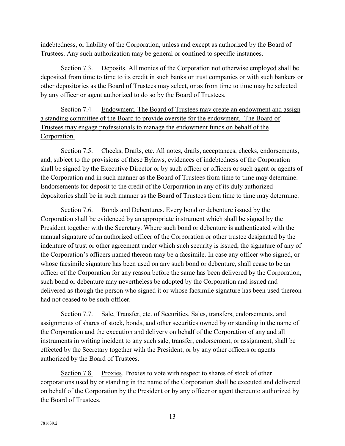indebtedness, or liability of the Corporation, unless and except as authorized by the Board of Trustees. Any such authorization may be general or confined to specific instances.

<span id="page-16-0"></span>Section 7.3. Deposits. All monies of the Corporation not otherwise employed shall be deposited from time to time to its credit in such banks or trust companies or with such bankers or other depositories as the Board of Trustees may select, or as from time to time may be selected by any officer or agent authorized to do so by the Board of Trustees.

Section 7.4 Endowment. The Board of Trustees may create an endowment and assign a standing committee of the Board to provide oversite for the endowment. The Board of Trustees may engage professionals to manage the endowment funds on behalf of the Corporation.

<span id="page-16-1"></span>Section 7.5. Checks, Drafts, etc. All notes, drafts, acceptances, checks, endorsements, and, subject to the provisions of these Bylaws, evidences of indebtedness of the Corporation shall be signed by the Executive Director or by such officer or officers or such agent or agents of the Corporation and in such manner as the Board of Trustees from time to time may determine. Endorsements for deposit to the credit of the Corporation in any of its duly authorized depositories shall be in such manner as the Board of Trustees from time to time may determine.

<span id="page-16-2"></span>Section 7.6. Bonds and Debentures. Every bond or debenture issued by the Corporation shall be evidenced by an appropriate instrument which shall be signed by the President together with the Secretary. Where such bond or debenture is authenticated with the manual signature of an authorized officer of the Corporation or other trustee designated by the indenture of trust or other agreement under which such security is issued, the signature of any of the Corporation's officers named thereon may be a facsimile. In case any officer who signed, or whose facsimile signature has been used on any such bond or debenture, shall cease to be an officer of the Corporation for any reason before the same has been delivered by the Corporation, such bond or debenture may nevertheless be adopted by the Corporation and issued and delivered as though the person who signed it or whose facsimile signature has been used thereon had not ceased to be such officer.

<span id="page-16-3"></span>Section 7.7. Sale, Transfer, etc. of Securities. Sales, transfers, endorsements, and assignments of shares of stock, bonds, and other securities owned by or standing in the name of the Corporation and the execution and delivery on behalf of the Corporation of any and all instruments in writing incident to any such sale, transfer, endorsement, or assignment, shall be effected by the Secretary together with the President, or by any other officers or agents authorized by the Board of Trustees.

<span id="page-16-4"></span>Section 7.8. Proxies. Proxies to vote with respect to shares of stock of other corporations used by or standing in the name of the Corporation shall be executed and delivered on behalf of the Corporation by the President or by any officer or agent thereunto authorized by the Board of Trustees.